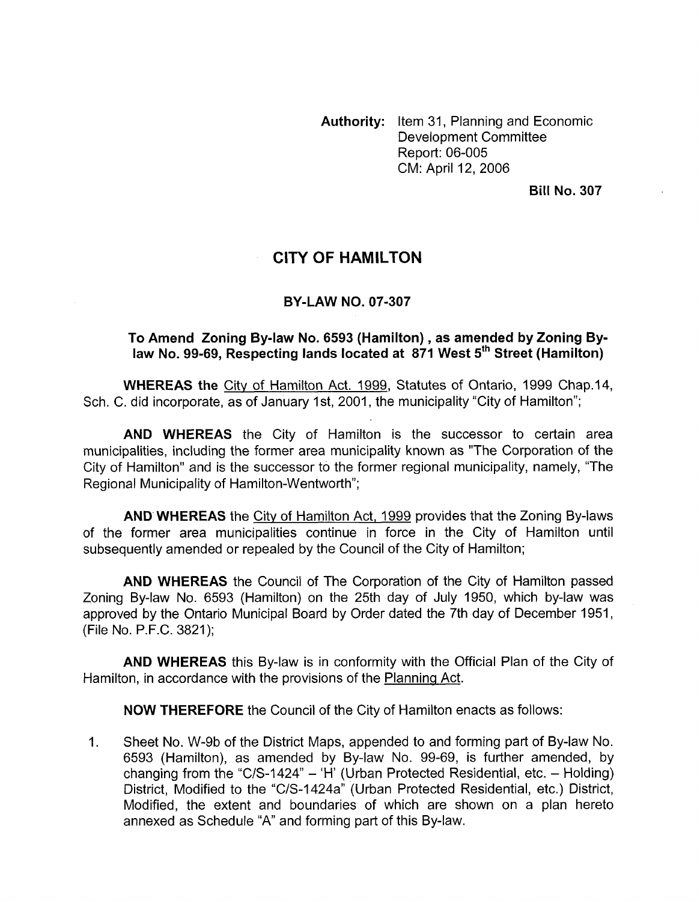**Authority:** Item 31, Planning and Economic Development Committee Report: 06-005 CM: April 12, 2006

**Bill No. 307** 

## **CITY OF HAMILTON**

## **BY-LAW NO. 07-307**

## **To Amend Zoning By-law No. 6593 (Hamilton), as amended by Zoning By**law No. 99-69, Respecting lands located at 871 West 5<sup>th</sup> Street (Hamilton)

**WHEREAS the** City of Hamilton Act. 1999, Statutes of Ontario, 1999 Chap.14, Sch. C. did incorporate, as of January 1st, 2001, the municipality "City of Hamilton";

**AND WHEREAS** the City of Hamilton is the successor to certain area municipalities, including the former area municipality known as "The Corporation of the City of Hamilton" and is the successor to the former regional municipality, namely, "The Regional Municipality of Hamilton-Wentworth";

**AND WHEREAS** the City of Hamilton Act, 1999 provides that the Zoning By-laws of the former area municipalities continue in force in the City of Hamilton until subsequently amended or repealed by the Council of the City of Hamilton;

**AND WHEREAS** the Council of The Corporation of the City of Hamilton passed Zoning By-law No. 6593 (Hamilton) on the 25th day of July 1950, which by-law was approved by the Ontario Municipal Board by Order dated the 7th day of December 1951, (File No. P.F.C. 3821);

**AND WHEREAS** this By-law is in conformity with the Official Plan of the City of Hamilton, in accordance with the provisions of the Planning Act.

**NOW THEREFORE** the Council of the City of Hamilton enacts as follows:

1. Sheet No. W-9b of the District Maps, appended to and forming part of By-law No. 6593 (Hamilton), as amended by By-law No. 99-69, is further amended, by changing from the "C/S-1424"  $-$  'H' (Urban Protected Residential, etc.  $-$  Holding) District, Modified to the "C/S-I 424a" (Urban Protected Residential, etc.) District, Modified, the extent and boundaries of which are shown on a plan hereto annexed as Schedule "A" and forming part of this By-law.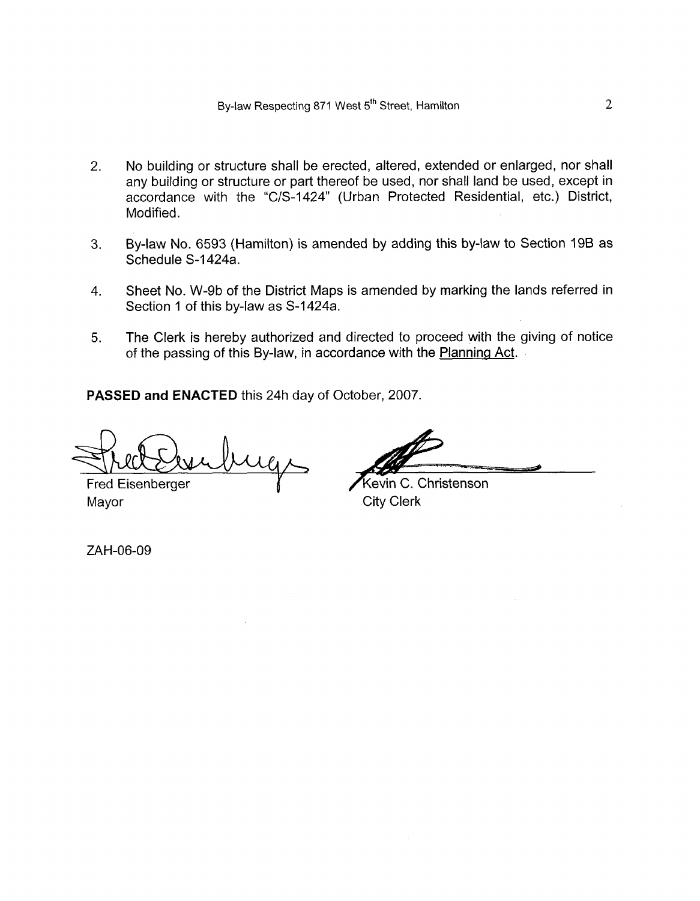- 2. No building or structure shall be erected, altered, extended or enlarged, nor shall any building or structure or part thereof be used, nor shall land be used, except in accordance with the "C/S-I 424" (Urban Protected Residential, etc.) District, Modified.
- 3. By-law No. 6593 (Hamilton) is amended by adding this by-law to Section 19B as Schedule S-1424a.
- 4. Sheet No. W-9b of the District Maps is amended by marking the lands referred in Section 1 of this by-law as S-1424a.
- 5. The Clerk is hereby authorized and directed to proceed with the giving of notice of the passing of this By-law, in accordance with the Planning Act.

**PASSED and ENACTED** this 24h day of October, 2007

Fred Eisenberger Mayor City Clerk

Kevin C. Christenson

ZAH-06-09